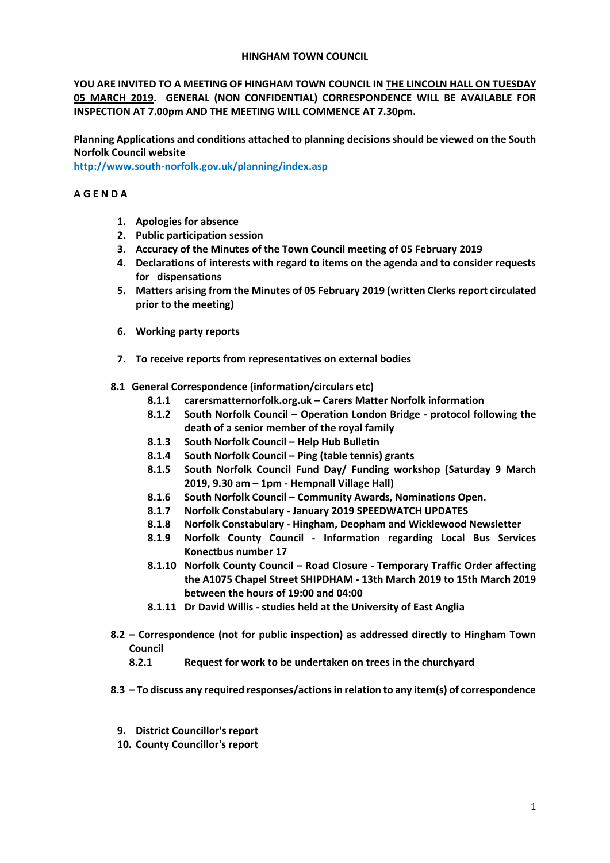#### **HINGHAM TOWN COUNCIL**

**YOU ARE INVITED TO A MEETING OF HINGHAM TOWN COUNCIL IN THE LINCOLN HALL ON TUESDAY 05 MARCH 2019. GENERAL (NON CONFIDENTIAL) CORRESPONDENCE WILL BE AVAILABLE FOR INSPECTION AT 7.00pm AND THE MEETING WILL COMMENCE AT 7.30pm.** 

**Planning Applications and conditions attached to planning decisions should be viewed on the South Norfolk Council website** 

**<http://www.south-norfolk.gov.uk/planning/index.asp>**

## **A G E N D A**

- **1. Apologies for absence**
- **2. Public participation session**
- **3. Accuracy of the Minutes of the Town Council meeting of 05 February 2019**
- **4. Declarations of interests with regard to items on the agenda and to consider requests for dispensations**
- **5. Matters arising from the Minutes of 05 February 2019 (written Clerks report circulated prior to the meeting)**
- **6. Working party reports**
- **7. To receive reports from representatives on external bodies**
- **8.1 General Correspondence (information/circulars etc)**
	- **8.1.1 carersmatternorfolk.org.uk – Carers Matter Norfolk information**
	- **8.1.2 South Norfolk Council – Operation London Bridge - protocol following the death of a senior member of the royal family**
	- **8.1.3 South Norfolk Council – Help Hub Bulletin**
	- **8.1.4 South Norfolk Council – Ping (table tennis) grants**
	- **8.1.5 South Norfolk Council Fund Day/ Funding workshop (Saturday 9 March 2019, 9.30 am – 1pm - Hempnall Village Hall)**
	- **8.1.6 South Norfolk Council – Community Awards, Nominations Open.**
	- **8.1.7 Norfolk Constabulary - January 2019 SPEEDWATCH UPDATES**
	- **8.1.8 Norfolk Constabulary - Hingham, Deopham and Wicklewood Newsletter**
	- **8.1.9 Norfolk County Council - Information regarding Local Bus Services Konectbus number 17**
	- **8.1.10 Norfolk County Council – Road Closure - Temporary Traffic Order affecting the A1075 Chapel Street SHIPDHAM - 13th March 2019 to 15th March 2019 between the hours of 19:00 and 04:00**
	- **8.1.11 Dr David Willis - studies held at the University of East Anglia**
- **8.2 – Correspondence (not for public inspection) as addressed directly to Hingham Town Council**
	- **8.2.1 Request for work to be undertaken on trees in the churchyard**
- **8.3 – To discuss any required responses/actions in relation to any item(s) of correspondence** 
	- **9. District Councillor's report**
	- **10. County Councillor's report**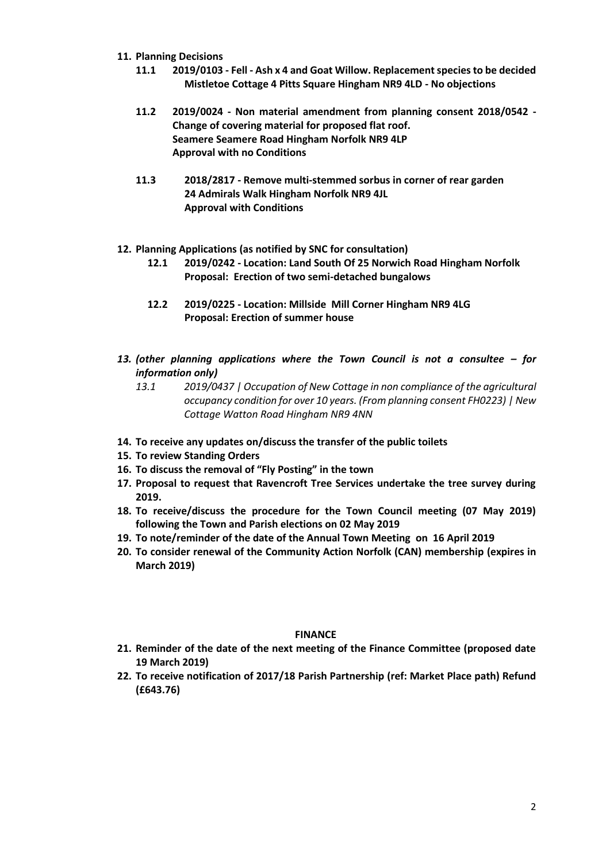- **11. Planning Decisions**
	- **11.1 2019/0103 - Fell - Ash x 4 and Goat Willow. Replacement species to be decided Mistletoe Cottage 4 Pitts Square Hingham NR9 4LD - No objections**
	- **11.2 2019/0024 - Non material amendment from planning consent 2018/0542 - Change of covering material for proposed flat roof. Seamere Seamere Road Hingham Norfolk NR9 4LP Approval with no Conditions**
	- **11.3 2018/2817 - Remove multi-stemmed sorbus in corner of rear garden 24 Admirals Walk Hingham Norfolk NR9 4JL Approval with Conditions**
- **12. Planning Applications (as notified by SNC for consultation)**
	- **12.1 2019/0242 - Location: Land South Of 25 Norwich Road Hingham Norfolk Proposal: Erection of two semi-detached bungalows**
	- **12.2 2019/0225 - Location: Millside Mill Corner Hingham NR9 4LG Proposal: Erection of summer house**
- *13. (other planning applications where the Town Council is not a consultee – for information only)*
	- *13.1 2019/0437 | Occupation of New Cottage in non compliance of the agricultural occupancy condition for over 10 years. (From planning consent FH0223) | New Cottage Watton Road Hingham NR9 4NN*
- **14. To receive any updates on/discuss the transfer of the public toilets**
- **15. To review Standing Orders**
- **16. To discuss the removal of "Fly Posting" in the town**
- **17. Proposal to request that Ravencroft Tree Services undertake the tree survey during 2019.**
- **18. To receive/discuss the procedure for the Town Council meeting (07 May 2019) following the Town and Parish elections on 02 May 2019**
- **19. To note/reminder of the date of the Annual Town Meeting on 16 April 2019**
- **20. To consider renewal of the Community Action Norfolk (CAN) membership (expires in March 2019)**

# **FINANCE**

- **21. Reminder of the date of the next meeting of the Finance Committee (proposed date 19 March 2019)**
- **22. To receive notification of 2017/18 Parish Partnership (ref: Market Place path) Refund (£643.76)**